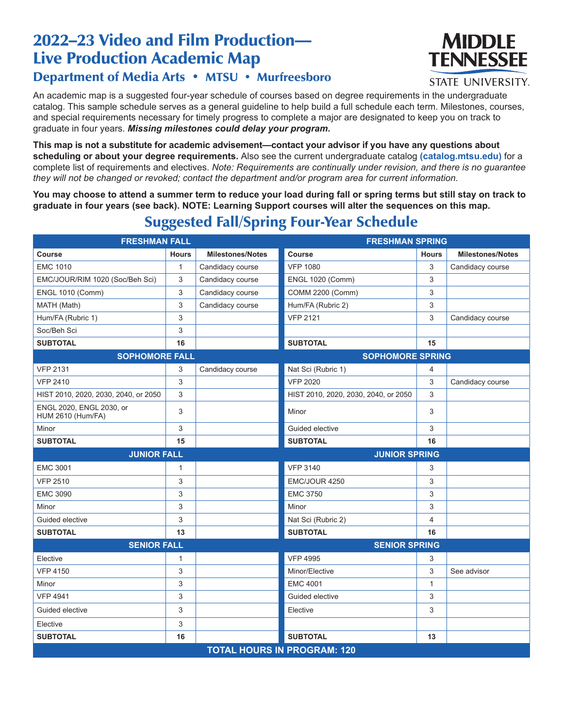# 2022–23 Video and Film Production— Live Production Academic Map



#### **STATE UNIVERSITY.**

### Department of Media Arts • MTSU • Murfreesboro

An academic map is a suggested four-year schedule of courses based on degree requirements in the undergraduate catalog. This sample schedule serves as a general guideline to help build a full schedule each term. Milestones, courses, and special requirements necessary for timely progress to complete a major are designated to keep you on track to graduate in four years. *Missing milestones could delay your program.*

**This map is not a substitute for academic advisement—contact your advisor if you have any questions about scheduling or about your degree requirements.** Also see the current undergraduate catalog **(catalog.mtsu.edu)** for a complete list of requirements and electives. *Note: Requirements are continually under revision, and there is no guarantee they will not be changed or revoked; contact the department and/or program area for current information.*

**You may choose to attend a summer term to reduce your load during fall or spring terms but still stay on track to graduate in four years (see back). NOTE: Learning Support courses will alter the sequences on this map.**

| <b>FRESHMAN FALL</b>                                 |              |                         | <b>FRESHMAN SPRING</b>               |                |                         |  |  |
|------------------------------------------------------|--------------|-------------------------|--------------------------------------|----------------|-------------------------|--|--|
| Course                                               | <b>Hours</b> | <b>Milestones/Notes</b> | Course                               | <b>Hours</b>   | <b>Milestones/Notes</b> |  |  |
| <b>EMC 1010</b>                                      | $\mathbf{1}$ | Candidacy course        | <b>VFP 1080</b>                      | 3              | Candidacy course        |  |  |
| EMC/JOUR/RIM 1020 (Soc/Beh Sci)                      | 3            | Candidacy course        | <b>ENGL 1020 (Comm)</b>              | 3              |                         |  |  |
| <b>ENGL 1010 (Comm)</b>                              | 3            | Candidacy course        | COMM 2200 (Comm)                     | 3              |                         |  |  |
| MATH (Math)                                          | 3            | Candidacy course        | Hum/FA (Rubric 2)                    | 3              |                         |  |  |
| Hum/FA (Rubric 1)                                    | 3            |                         | <b>VFP 2121</b>                      | 3              | Candidacy course        |  |  |
| Soc/Beh Sci                                          | 3            |                         |                                      |                |                         |  |  |
| <b>SUBTOTAL</b>                                      | 16           |                         | <b>SUBTOTAL</b>                      | 15             |                         |  |  |
| <b>SOPHOMORE FALL</b>                                |              | <b>SOPHOMORE SPRING</b> |                                      |                |                         |  |  |
| <b>VFP 2131</b>                                      | 3            | Candidacy course        | Nat Sci (Rubric 1)                   | $\overline{4}$ |                         |  |  |
| <b>VFP 2410</b>                                      | 3            |                         | <b>VFP 2020</b>                      | 3              | Candidacy course        |  |  |
| HIST 2010, 2020, 2030, 2040, or 2050                 | 3            |                         | HIST 2010, 2020, 2030, 2040, or 2050 | 3              |                         |  |  |
| ENGL 2020, ENGL 2030, or<br><b>HUM 2610 (Hum/FA)</b> | 3            |                         | Minor                                | 3              |                         |  |  |
| Minor                                                | 3            |                         | Guided elective                      | 3              |                         |  |  |
| <b>SUBTOTAL</b>                                      | 15           |                         | <b>SUBTOTAL</b>                      | 16             |                         |  |  |
| <b>JUNIOR FALL</b>                                   |              |                         | <b>JUNIOR SPRING</b>                 |                |                         |  |  |
| <b>EMC 3001</b>                                      | 1            |                         | <b>VFP 3140</b>                      | 3              |                         |  |  |
| <b>VFP 2510</b>                                      | 3            |                         | EMC/JOUR 4250                        | 3              |                         |  |  |
| <b>EMC 3090</b>                                      | 3            |                         | <b>EMC 3750</b>                      | 3              |                         |  |  |
| Minor                                                | 3            |                         | Minor                                | 3              |                         |  |  |
| Guided elective                                      | 3            |                         | Nat Sci (Rubric 2)                   | $\overline{4}$ |                         |  |  |
| <b>SUBTOTAL</b>                                      | 13           |                         | <b>SUBTOTAL</b>                      | 16             |                         |  |  |
| <b>SENIOR FALL</b>                                   |              |                         | <b>SENIOR SPRING</b>                 |                |                         |  |  |
| Elective                                             | 1            |                         | <b>VFP 4995</b>                      | 3              |                         |  |  |
| <b>VFP 4150</b>                                      | 3            |                         | Minor/Elective                       | 3              | See advisor             |  |  |
| Minor                                                | 3            |                         | <b>EMC 4001</b>                      | $\mathbf{1}$   |                         |  |  |
| <b>VFP 4941</b>                                      | 3            |                         | Guided elective                      | 3              |                         |  |  |
| Guided elective                                      | 3            |                         | Elective                             | 3              |                         |  |  |
| Elective                                             | 3            |                         |                                      |                |                         |  |  |
| <b>SUBTOTAL</b>                                      | 16           |                         | <b>SUBTOTAL</b>                      | 13             |                         |  |  |
| <b>TOTAL HOURS IN PROGRAM: 120</b>                   |              |                         |                                      |                |                         |  |  |

# Suggested Fall/Spring Four-Year Schedule